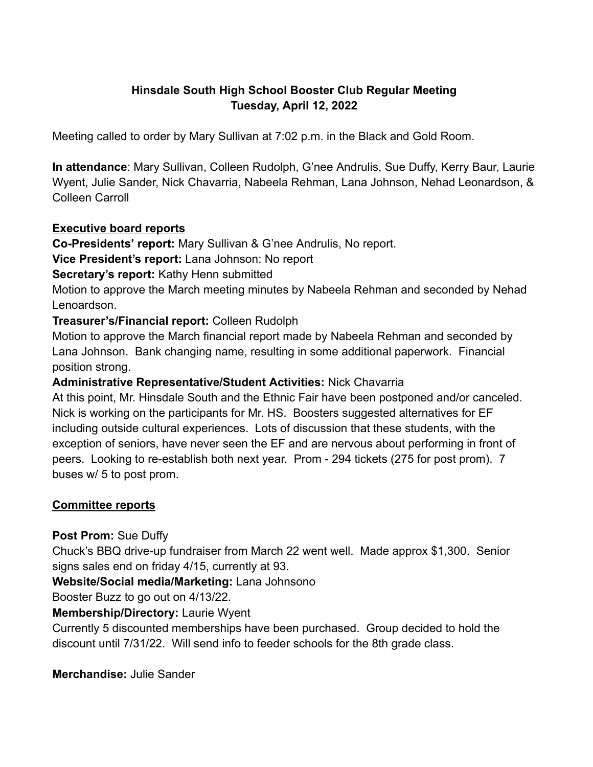# **Hinsdale South High School Booster Club Regular Meeting Tuesday, April 12, 2022**

Meeting called to order by Mary Sullivan at 7:02 p.m. in the Black and Gold Room.

**In attendance**: Mary Sullivan, Colleen Rudolph, G'nee Andrulis, Sue Duffy, Kerry Baur, Laurie Wyent, Julie Sander, Nick Chavarria, Nabeela Rehman, Lana Johnson, Nehad Leonardson, & Colleen Carroll

#### **Executive board reports**

**Co-Presidents' report:** Mary Sullivan & G'nee Andrulis, No report.

**Vice President's report:** Lana Johnson: No report

**Secretary's report:** Kathy Henn submitted

Motion to approve the March meeting minutes by Nabeela Rehman and seconded by Nehad Lenoardson.

### **Treasurer's/Financial report:** Colleen Rudolph

Motion to approve the March financial report made by Nabeela Rehman and seconded by Lana Johnson. Bank changing name, resulting in some additional paperwork. Financial position strong.

### **Administrative Representative/Student Activities:** Nick Chavarria

At this point, Mr. Hinsdale South and the Ethnic Fair have been postponed and/or canceled. Nick is working on the participants for Mr. HS. Boosters suggested alternatives for EF including outside cultural experiences. Lots of discussion that these students, with the exception of seniors, have never seen the EF and are nervous about performing in front of peers. Looking to re-establish both next year. Prom - 294 tickets (275 for post prom). 7 buses w/ 5 to post prom.

## **Committee reports**

**Post Prom:** Sue Duffy

Chuck's BBQ drive-up fundraiser from March 22 went well. Made approx \$1,300. Senior signs sales end on friday 4/15, currently at 93.

**Website/Social media/Marketing:** Lana Johnsono

Booster Buzz to go out on 4/13/22.

## **Membership/Directory:** Laurie Wyent

Currently 5 discounted memberships have been purchased. Group decided to hold the discount until 7/31/22. Will send info to feeder schools for the 8th grade class.

**Merchandise:** Julie Sander